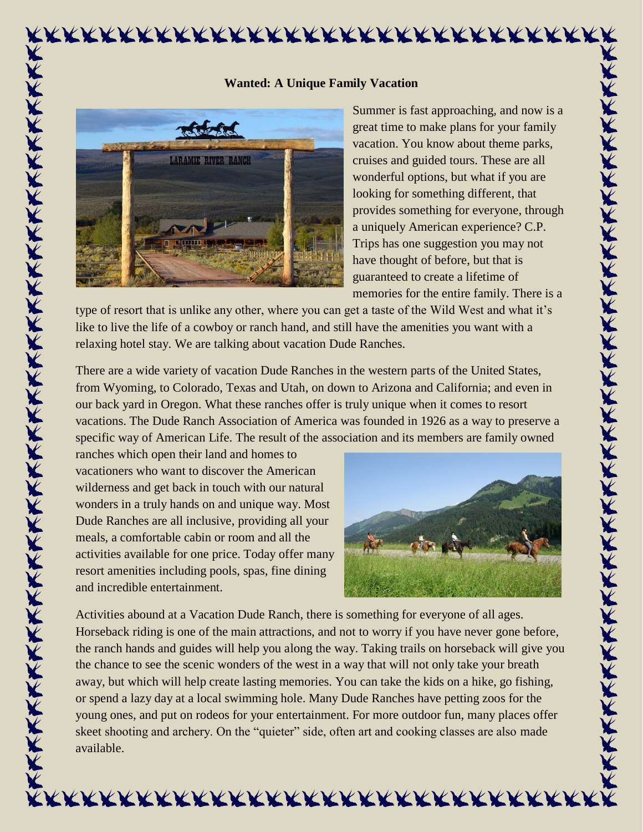## **LARAMIE RIVER RANCH** KXXXXXXXXXXXXXXXXXXXXXXXXXXXXXXXXX

## **Wanted: A Unique Family Vacation**

Summer is fast approaching, and now is a great time to make plans for your family vacation. You know about theme parks, cruises and guided tours. These are all wonderful options, but what if you are looking for something different, that provides something for everyone, through a uniquely American experience? C.P. Trips has one suggestion you may not have thought of before, but that is guaranteed to create a lifetime of memories for the entire family. There is a

type of resort that is unlike any other, where you can get a taste of the Wild West and what it's like to live the life of a cowboy or ranch hand, and still have the amenities you want with a relaxing hotel stay. We are talking about vacation Dude Ranches.

There are a wide variety of vacation Dude Ranches in the western parts of the United States, from Wyoming, to Colorado, Texas and Utah, on down to Arizona and California; and even in our back yard in Oregon. What these ranches offer is truly unique when it comes to resort vacations. The Dude Ranch Association of America was founded in 1926 as a way to preserve a specific way of American Life. The result of the association and its members are family owned

ranches which open their land and homes to vacationers who want to discover the American wilderness and get back in touch with our natural wonders in a truly hands on and unique way. Most Dude Ranches are all inclusive, providing all your meals, a comfortable cabin or room and all the activities available for one price. Today offer many resort amenities including pools, spas, fine dining and incredible entertainment.



不不不不不不不不不不不不不不不不不不不不不不不不不不不不不不不不不

Activities abound at a Vacation Dude Ranch, there is something for everyone of all ages. Horseback riding is one of the main attractions, and not to worry if you have never gone before, the ranch hands and guides will help you along the way. Taking trails on horseback will give you the chance to see the scenic wonders of the west in a way that will not only take your breath away, but which will help create lasting memories. You can take the kids on a hike, go fishing, or spend a lazy day at a local swimming hole. Many Dude Ranches have petting zoos for the young ones, and put on rodeos for your entertainment. For more outdoor fun, many places offer skeet shooting and archery. On the "quieter" side, often art and cooking classes are also made available.